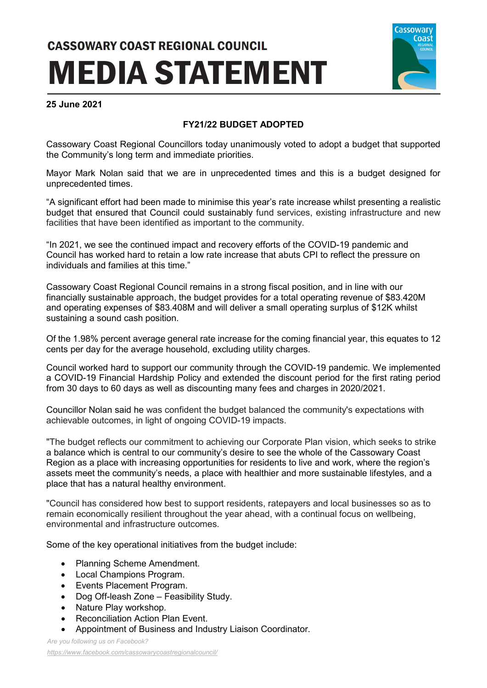## **CASSOWARY COAST REGIONAL COUNCIL MEDIA STATEMENT**



## **25 June 2021**

## **FY21/22 BUDGET ADOPTED**

Cassowary Coast Regional Councillors today unanimously voted to adopt a budget that supported the Community's long term and immediate priorities.

Mayor Mark Nolan said that we are in unprecedented times and this is a budget designed for unprecedented times.

"A significant effort had been made to minimise this year's rate increase whilst presenting a realistic budget that ensured that Council could sustainably fund services, existing infrastructure and new facilities that have been identified as important to the community.

"In 2021, we see the continued impact and recovery efforts of the COVID-19 pandemic and Council has worked hard to retain a low rate increase that abuts CPI to reflect the pressure on individuals and families at this time."

Cassowary Coast Regional Council remains in a strong fiscal position, and in line with our financially sustainable approach, the budget provides for a total operating revenue of \$83.420M and operating expenses of \$83.408M and will deliver a small operating surplus of \$12K whilst sustaining a sound cash position.

Of the 1.98% percent average general rate increase for the coming financial year, this equates to 12 cents per day for the average household, excluding utility charges.

Council worked hard to support our community through the COVID-19 pandemic. We implemented a COVID-19 Financial Hardship Policy and extended the discount period for the first rating period from 30 days to 60 days as well as discounting many fees and charges in 2020/2021.

Councillor Nolan said he was confident the budget balanced the community's expectations with achievable outcomes, in light of ongoing COVID-19 impacts.

"The budget reflects our commitment to achieving our Corporate Plan vision, which seeks to strike a balance which is central to our community's desire to see the whole of the Cassowary Coast Region as a place with increasing opportunities for residents to live and work, where the region's assets meet the community's needs, a place with healthier and more sustainable lifestyles, and a place that has a natural healthy environment.

"Council has considered how best to support residents, ratepayers and local businesses so as to remain economically resilient throughout the year ahead, with a continual focus on wellbeing, environmental and infrastructure outcomes.

Some of the key operational initiatives from the budget include:

- Planning Scheme Amendment.
- Local Champions Program.
- Events Placement Program.
- Dog Off-leash Zone Feasibility Study.
- Nature Play workshop.
- Reconciliation Action Plan Event.
- Appointment of Business and Industry Liaison Coordinator.

*Are you following us on Facebook?*